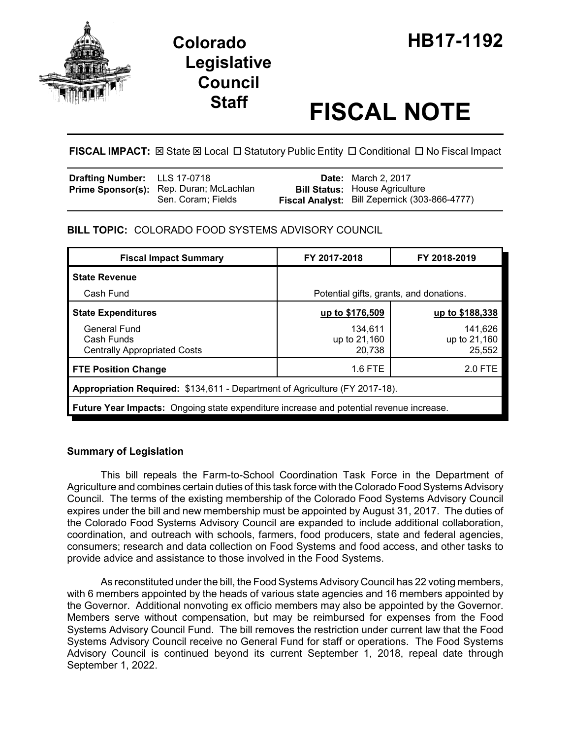

# **Legislative Council**

# **Staff FISCAL NOTE**

FISCAL IMPACT:  $\boxtimes$  State  $\boxtimes$  Local  $\Box$  Statutory Public Entity  $\Box$  Conditional  $\Box$  No Fiscal Impact

| <b>Drafting Number:</b> LLS 17-0718 |                                                               | <b>Date:</b> March 2, 2017                                                             |
|-------------------------------------|---------------------------------------------------------------|----------------------------------------------------------------------------------------|
|                                     | Prime Sponsor(s): Rep. Duran; McLachlan<br>Sen. Coram; Fields | <b>Bill Status: House Agriculture</b><br>Fiscal Analyst: Bill Zepernick (303-866-4777) |

# **BILL TOPIC:** COLORADO FOOD SYSTEMS ADVISORY COUNCIL

| <b>Fiscal Impact Summary</b>                                                            | FY 2017-2018                            | FY 2018-2019                      |  |
|-----------------------------------------------------------------------------------------|-----------------------------------------|-----------------------------------|--|
| <b>State Revenue</b>                                                                    |                                         |                                   |  |
| Cash Fund                                                                               | Potential gifts, grants, and donations. |                                   |  |
| <b>State Expenditures</b>                                                               | up to \$176,509                         | up to \$188,338                   |  |
| General Fund<br>Cash Funds<br><b>Centrally Appropriated Costs</b>                       | 134.611<br>up to 21,160<br>20,738       | 141,626<br>up to 21,160<br>25,552 |  |
| <b>FTE Position Change</b>                                                              | 1.6 FTE                                 | 2.0 FTE                           |  |
| Appropriation Required: \$134,611 - Department of Agriculture (FY 2017-18).             |                                         |                                   |  |
| Future Year Impacts: Ongoing state expenditure increase and potential revenue increase. |                                         |                                   |  |

# **Summary of Legislation**

This bill repeals the Farm-to-School Coordination Task Force in the Department of Agriculture and combines certain duties of this task force with the Colorado Food Systems Advisory Council. The terms of the existing membership of the Colorado Food Systems Advisory Council expires under the bill and new membership must be appointed by August 31, 2017. The duties of the Colorado Food Systems Advisory Council are expanded to include additional collaboration, coordination, and outreach with schools, farmers, food producers, state and federal agencies, consumers; research and data collection on Food Systems and food access, and other tasks to provide advice and assistance to those involved in the Food Systems.

As reconstituted under the bill, the Food Systems Advisory Council has 22 voting members, with 6 members appointed by the heads of various state agencies and 16 members appointed by the Governor. Additional nonvoting ex officio members may also be appointed by the Governor. Members serve without compensation, but may be reimbursed for expenses from the Food Systems Advisory Council Fund. The bill removes the restriction under current law that the Food Systems Advisory Council receive no General Fund for staff or operations. The Food Systems Advisory Council is continued beyond its current September 1, 2018, repeal date through September 1, 2022.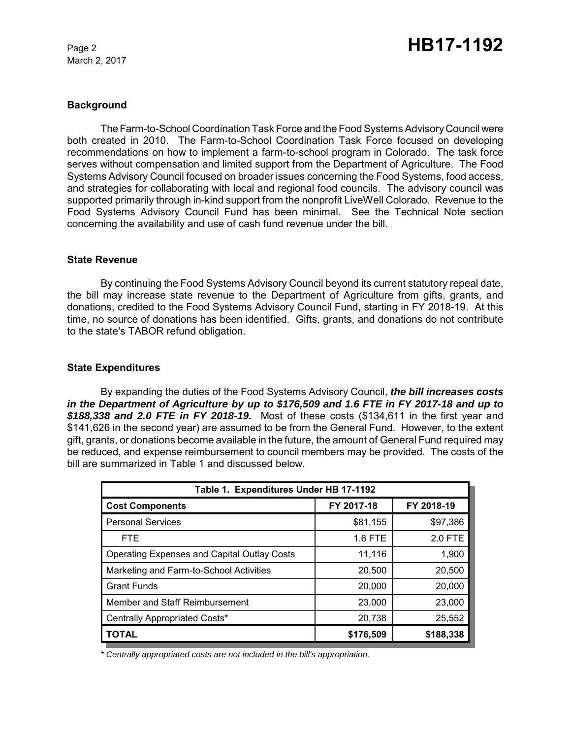March 2, 2017

# **Background**

The Farm-to-School Coordination Task Force and the Food Systems Advisory Council were both created in 2010. The Farm-to-School Coordination Task Force focused on developing recommendations on how to implement a farm-to-school program in Colorado. The task force serves without compensation and limited support from the Department of Agriculture. The Food Systems Advisory Council focused on broader issues concerning the Food Systems, food access, and strategies for collaborating with local and regional food councils. The advisory council was supported primarily through in-kind support from the nonprofit LiveWell Colorado. Revenue to the Food Systems Advisory Council Fund has been minimal. See the Technical Note section concerning the availability and use of cash fund revenue under the bill.

## **State Revenue**

By continuing the Food Systems Advisory Council beyond its current statutory repeal date, the bill may increase state revenue to the Department of Agriculture from gifts, grants, and donations, credited to the Food Systems Advisory Council Fund, starting in FY 2018-19. At this time, no source of donations has been identified. Gifts, grants, and donations do not contribute to the state's TABOR refund obligation.

# **State Expenditures**

By expanding the duties of the Food Systems Advisory Council, *the bill increases costs in the Department of Agriculture by up to \$176,509 and 1.6 FTE in FY 2017-18 and up to \$188,338 and 2.0 FTE in FY 2018-19.* Most of these costs (\$134,611 in the first year and \$141,626 in the second year) are assumed to be from the General Fund. However, to the extent gift, grants, or donations become available in the future, the amount of General Fund required may be reduced, and expense reimbursement to council members may be provided. The costs of the bill are summarized in Table 1 and discussed below.

| Table 1. Expenditures Under HB 17-1192             |            |            |  |  |
|----------------------------------------------------|------------|------------|--|--|
| <b>Cost Components</b>                             | FY 2017-18 | FY 2018-19 |  |  |
| <b>Personal Services</b>                           | \$81,155   | \$97,386   |  |  |
| <b>FTE</b>                                         | 1.6 FTE    | 2.0 FTE    |  |  |
| <b>Operating Expenses and Capital Outlay Costs</b> | 11,116     | 1,900      |  |  |
| Marketing and Farm-to-School Activities            | 20,500     | 20,500     |  |  |
| <b>Grant Funds</b>                                 | 20,000     | 20,000     |  |  |
| Member and Staff Reimbursement                     | 23,000     | 23,000     |  |  |
| Centrally Appropriated Costs*                      | 20,738     | 25,552     |  |  |
| <b>TOTAL</b>                                       | \$176,509  | \$188,338  |  |  |

*\* Centrally appropriated costs are not included in the bill's appropriation.*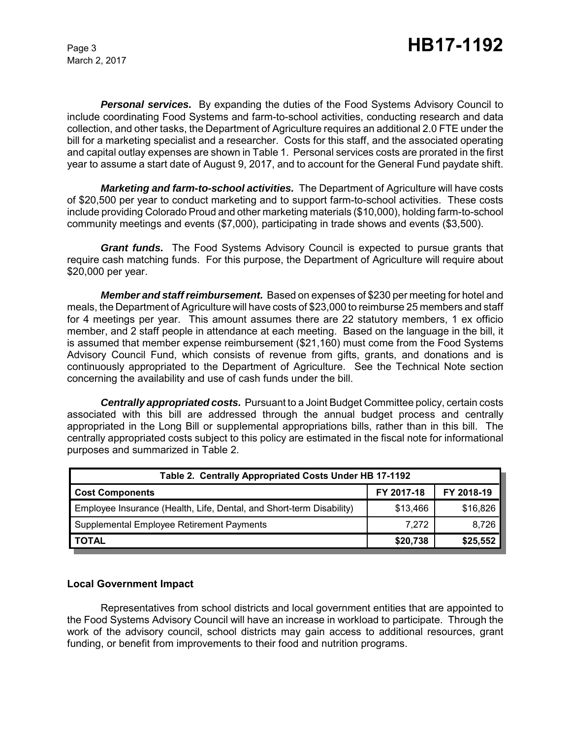March 2, 2017

*Personal services.* By expanding the duties of the Food Systems Advisory Council to include coordinating Food Systems and farm-to-school activities, conducting research and data collection, and other tasks, the Department of Agriculture requires an additional 2.0 FTE under the bill for a marketing specialist and a researcher. Costs for this staff, and the associated operating and capital outlay expenses are shown in Table 1. Personal services costs are prorated in the first year to assume a start date of August 9, 2017, and to account for the General Fund paydate shift.

*Marketing and farm-to-school activities.* The Department of Agriculture will have costs of \$20,500 per year to conduct marketing and to support farm-to-school activities. These costs include providing Colorado Proud and other marketing materials (\$10,000), holding farm-to-school community meetings and events (\$7,000), participating in trade shows and events (\$3,500).

*Grant funds.* The Food Systems Advisory Council is expected to pursue grants that require cash matching funds. For this purpose, the Department of Agriculture will require about \$20,000 per year.

*Member and staff reimbursement.* Based on expenses of \$230 per meeting for hotel and meals, the Department of Agriculture will have costs of \$23,000 to reimburse 25 members and staff for 4 meetings per year. This amount assumes there are 22 statutory members, 1 ex officio member, and 2 staff people in attendance at each meeting. Based on the language in the bill, it is assumed that member expense reimbursement (\$21,160) must come from the Food Systems Advisory Council Fund, which consists of revenue from gifts, grants, and donations and is continuously appropriated to the Department of Agriculture. See the Technical Note section concerning the availability and use of cash funds under the bill.

*Centrally appropriated costs.* Pursuant to a Joint Budget Committee policy, certain costs associated with this bill are addressed through the annual budget process and centrally appropriated in the Long Bill or supplemental appropriations bills, rather than in this bill. The centrally appropriated costs subject to this policy are estimated in the fiscal note for informational purposes and summarized in Table 2.

| Table 2. Centrally Appropriated Costs Under HB 17-1192               |            |            |  |
|----------------------------------------------------------------------|------------|------------|--|
| <b>Cost Components</b>                                               | FY 2017-18 | FY 2018-19 |  |
| Employee Insurance (Health, Life, Dental, and Short-term Disability) | \$13,466   | \$16,826   |  |
| Supplemental Employee Retirement Payments                            | 7.272      | 8,726      |  |
| <b>TOTAL</b>                                                         | \$20,738   | \$25,552   |  |

# **Local Government Impact**

Representatives from school districts and local government entities that are appointed to the Food Systems Advisory Council will have an increase in workload to participate. Through the work of the advisory council, school districts may gain access to additional resources, grant funding, or benefit from improvements to their food and nutrition programs.